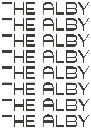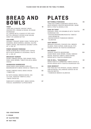### **BREAD AND** BOWLS

#### TOAST

 $$9$ 

\$15

\$17

\$16

THREE MILLS BAKERY ANCIENT GRAIN. CRACKED RYE, ORANGE & RAISIN, OR HOUSE SOURDOUGH

ALL SERVED WITH A CHOICE OF PEPE SAYA BUTTER, BROOKIE'S BYRON SLOW GINJAM, HONEY OR ALMOND BUTTER

#### ACAI BOWL

COCONUT YOGHURT BERRY PUREE TOPPED WITH SEASONAL MIXED BERRIES, BANANA, ECLIPSE HEMP & SEEDS, AND ROASTED COCONUT CHIPS GF, V, VEG, DF

| <b>POWER BIRCHER PORRIDGE</b>        |
|--------------------------------------|
| WARM ALMOND MILK-SOAKED OATS TOPPED  |
| WITH PALEO GRANOLA & SEASONAL FRUITS |
| GF. V. VEG. DF                       |
| <b>BREAKFAST BURGER</b>              |

DOUBLE SMOKED BACON, FREE-RANGE FRIED EGGS, HASH BROWN, TOMATO RELISH & SWISS CHEESE

#### SOURDOUGH SANDWICHES

| HOUSE MADE HASH BROWN & GRILLED<br>MUSHROOM WITH SWISS CHEESE & TOMATO VEG                | \$16 |
|-------------------------------------------------------------------------------------------|------|
| DOUBLE SMOKED HAM & SWISS CHEESE<br>$+TOMATO$ \$2                                         | \$12 |
| BLT WITH DOUBLE SMOKED BACON, COS<br>LETTUCE, ROASTED TOMATO & AIOLI<br>+SWISS CHEESE \$2 | \$14 |
| RUBEN WITH CORNED BEEF, SWISS CHEESE,<br>PICKLES. SAUERKRAUT & SPICED MAYO                | \$17 |

# PLATES

#### BUTTERMILK PANCAKES

THREE BUTTERMILK PANCAKES SERVED WITH MIXED BERRIES, WHIPPED MASCARPONE, WARM MAPLE SYRUP & GRANOLA VEG

#### EGGS ON TOAST

POACHED, FRIED, OR SCRAMBLED WITH TOASTED SOURDOUGH VEG

- +AVOCADO/MUSHROOMS/ROASTED TOMATO/ HASH BROWN \$4
- + B A C O N / C H O R I Z O / TA S M A N I A N S M O K E D SALMON \$5

#### ALBY BREKKY

SMASHED AVOCADO, POACHED EGG, SMOKED SALMON, FRIED CAPERS, HERB SALAD, FETA CHEESE SERVED ON TOASTED SOURDOUGH \$24

#### **BIG BREKKY**

CHORIZO, ROASTED MUSHROOMS, HOUSE-MADE HASH BROWN, DOUBLE SMOKED BACON, ROASTED TOMATO, BAKED BEANS SERVED WITH TOASTED SOURDOUGH \$24

#### EGG IN HELL, "SHAKSHUKA"

BAKED EGGS IN A SIMMERING TOMATO SAUCE & SPICES SERVED WITH TOASTED SOURDOUGH VEG

#### EGGS BENEDICT

PAN-FRIED BUTTER SPINACH, DOUBLE SMOKED HAM OR BACON, HOLLANDAISE SERVED ON AN ENGLISH MUFFIN +TASMANIAN SMOKED SALMON \$3 \$21

V—VEGAN GF—GLUTEN FREE NF—NUT FREE

VEG—VEGETARIAN

\$19

\$12

\$21